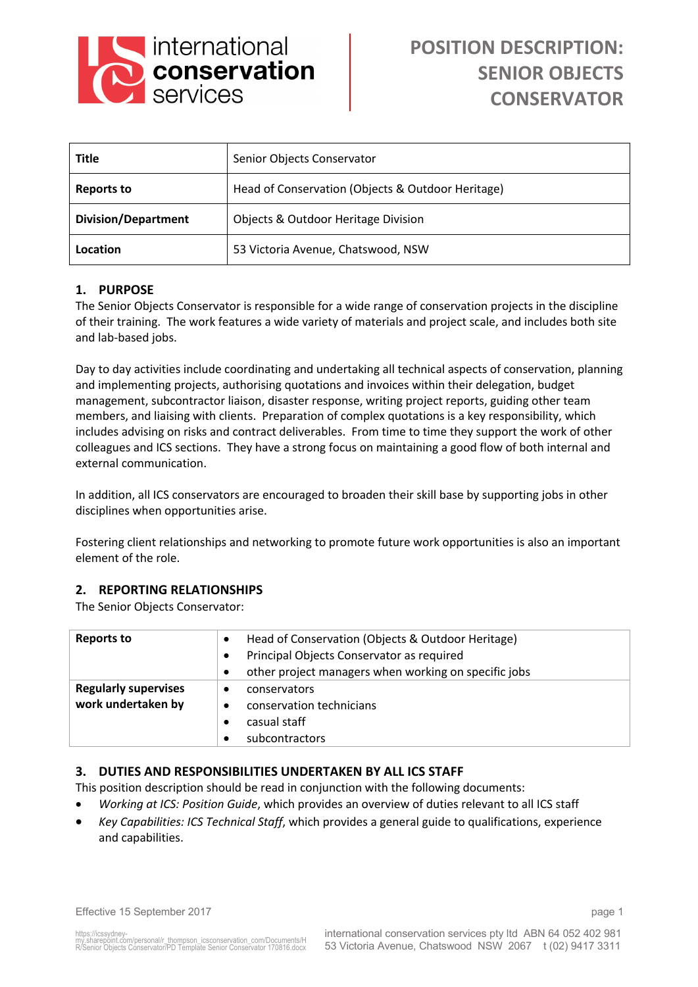

| <b>Title</b>               | Senior Objects Conservator                        |  |
|----------------------------|---------------------------------------------------|--|
| <b>Reports to</b>          | Head of Conservation (Objects & Outdoor Heritage) |  |
| <b>Division/Department</b> | Objects & Outdoor Heritage Division               |  |
| Location                   | 53 Victoria Avenue, Chatswood, NSW                |  |

# **1. PURPOSE**

The Senior Objects Conservator is responsible for a wide range of conservation projects in the discipline of their training. The work features a wide variety of materials and project scale, and includes both site and lab-based jobs.

Day to day activities include coordinating and undertaking all technical aspects of conservation, planning and implementing projects, authorising quotations and invoices within their delegation, budget management, subcontractor liaison, disaster response, writing project reports, guiding other team members, and liaising with clients. Preparation of complex quotations is a key responsibility, which includes advising on risks and contract deliverables. From time to time they support the work of other colleagues and ICS sections. They have a strong focus on maintaining a good flow of both internal and external communication.

In addition, all ICS conservators are encouraged to broaden their skill base by supporting jobs in other disciplines when opportunities arise.

Fostering client relationships and networking to promote future work opportunities is also an important element of the role.

## **2. REPORTING RELATIONSHIPS**

The Senior Objects Conservator:

| <b>Reports to</b>           | Head of Conservation (Objects & Outdoor Heritage)         |
|-----------------------------|-----------------------------------------------------------|
|                             | Principal Objects Conservator as required<br>$\bullet$    |
|                             | other project managers when working on specific jobs<br>٠ |
| <b>Regularly supervises</b> | conservators<br>٠                                         |
| work undertaken by          | conservation technicians<br>$\bullet$                     |
|                             | casual staff                                              |
|                             | subcontractors                                            |

## **3. DUTIES AND RESPONSIBILITIES UNDERTAKEN BY ALL ICS STAFF**

This position description should be read in conjunction with the following documents:

- *Working at ICS: Position Guide*, which provides an overview of duties relevant to all ICS staff
- *Key Capabilities: ICS Technical Staff*, which provides a general guide to qualifications, experience and capabilities.

Effective 15 September 2017 page 1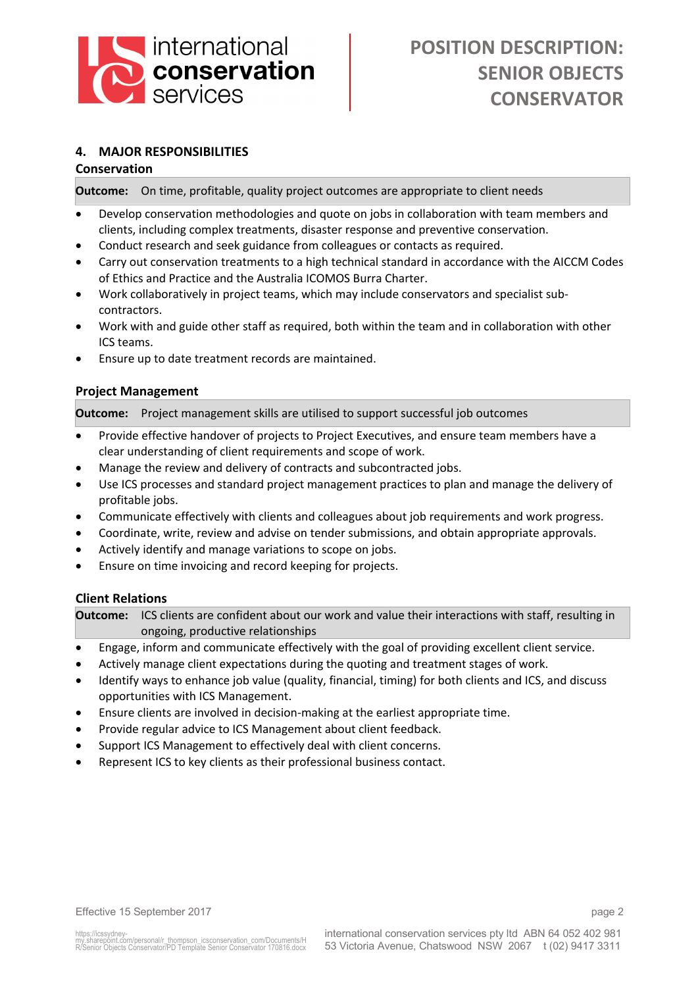

# **4. MAJOR RESPONSIBILITIES**

## **Conservation**

**Outcome:** On time, profitable, quality project outcomes are appropriate to client needs

- Develop conservation methodologies and quote on jobs in collaboration with team members and clients, including complex treatments, disaster response and preventive conservation.
- Conduct research and seek guidance from colleagues or contacts as required.
- Carry out conservation treatments to a high technical standard in accordance with the AICCM Codes of Ethics and Practice and the Australia ICOMOS Burra Charter.
- Work collaboratively in project teams, which may include conservators and specialist subcontractors.
- Work with and guide other staff as required, both within the team and in collaboration with other ICS teams.
- Ensure up to date treatment records are maintained.

## **Project Management**

**Outcome:** Project management skills are utilised to support successful job outcomes

- Provide effective handover of projects to Project Executives, and ensure team members have a clear understanding of client requirements and scope of work.
- Manage the review and delivery of contracts and subcontracted jobs.
- Use ICS processes and standard project management practices to plan and manage the delivery of profitable jobs.
- Communicate effectively with clients and colleagues about job requirements and work progress.
- Coordinate, write, review and advise on tender submissions, and obtain appropriate approvals.
- Actively identify and manage variations to scope on jobs.
- Ensure on time invoicing and record keeping for projects.

## **Client Relations**

**Outcome:** ICS clients are confident about our work and value their interactions with staff, resulting in ongoing, productive relationships

- Engage, inform and communicate effectively with the goal of providing excellent client service.
- Actively manage client expectations during the quoting and treatment stages of work.
- Identify ways to enhance job value (quality, financial, timing) for both clients and ICS, and discuss opportunities with ICS Management.
- Ensure clients are involved in decision-making at the earliest appropriate time.
- Provide regular advice to ICS Management about client feedback.
- Support ICS Management to effectively deal with client concerns.
- Represent ICS to key clients as their professional business contact.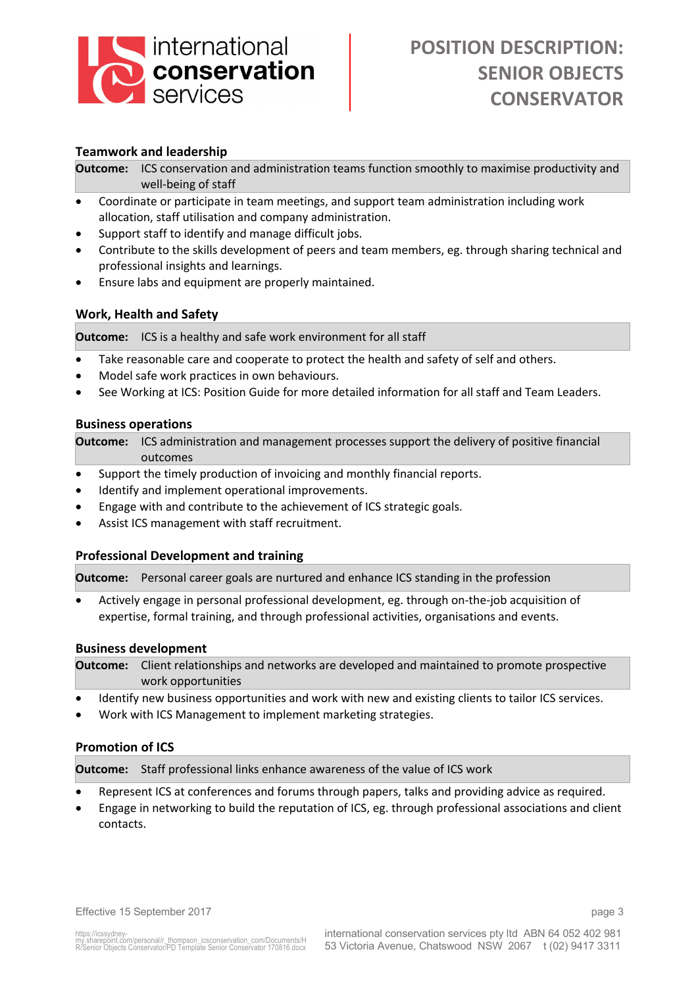

## **Teamwork and leadership**

**Outcome:** ICS conservation and administration teams function smoothly to maximise productivity and well-being of staff

- Coordinate or participate in team meetings, and support team administration including work allocation, staff utilisation and company administration.
- Support staff to identify and manage difficult jobs.
- Contribute to the skills development of peers and team members, eg. through sharing technical and professional insights and learnings.
- Ensure labs and equipment are properly maintained.

## **Work, Health and Safety**

**Outcome:** ICS is a healthy and safe work environment for all staff

- Take reasonable care and cooperate to protect the health and safety of self and others.
- Model safe work practices in own behaviours.
- See Working at ICS: Position Guide for more detailed information for all staff and Team Leaders.

#### **Business operations**

**Outcome:** ICS administration and management processes support the delivery of positive financial outcomes

- Support the timely production of invoicing and monthly financial reports.
- Identify and implement operational improvements.
- Engage with and contribute to the achievement of ICS strategic goals.
- Assist ICS management with staff recruitment.

#### **Professional Development and training**

**Outcome:** Personal career goals are nurtured and enhance ICS standing in the profession

• Actively engage in personal professional development, eg. through on-the-job acquisition of expertise, formal training, and through professional activities, organisations and events.

#### **Business development**

**Outcome:** Client relationships and networks are developed and maintained to promote prospective work opportunities

- Identify new business opportunities and work with new and existing clients to tailor ICS services.
- Work with ICS Management to implement marketing strategies.

#### **Promotion of ICS**

**Outcome:** Staff professional links enhance awareness of the value of ICS work

- Represent ICS at conferences and forums through papers, talks and providing advice as required.
- Engage in networking to build the reputation of ICS, eg. through professional associations and client contacts.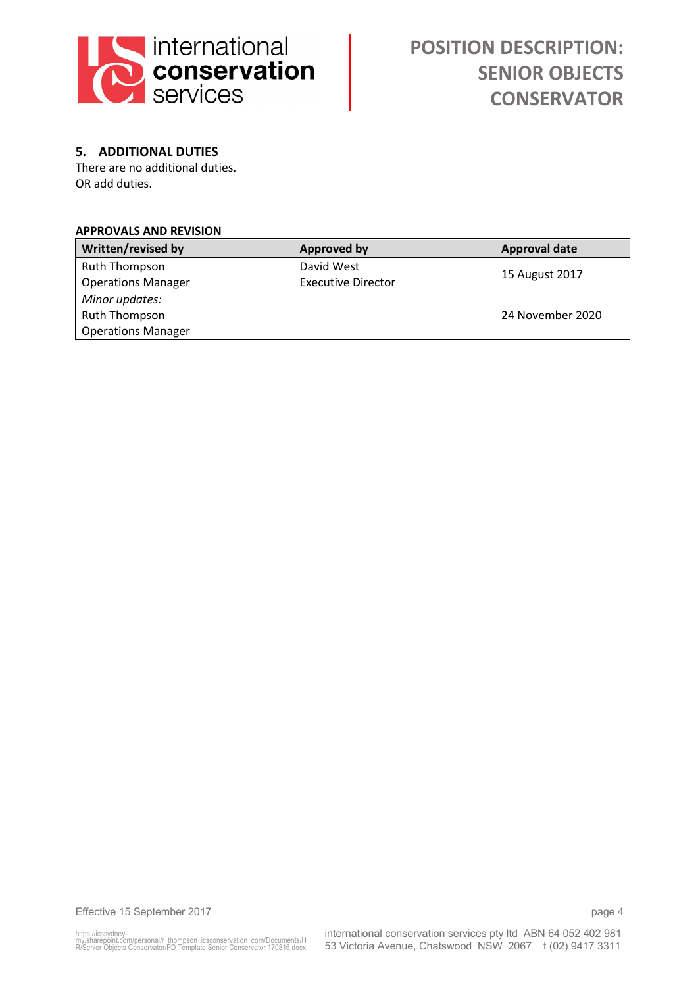

# **5. ADDITIONAL DUTIES**

There are no additional duties. OR add duties.

#### **APPROVALS AND REVISION**

| Written/revised by        | <b>Approved by</b>        | <b>Approval date</b> |
|---------------------------|---------------------------|----------------------|
| Ruth Thompson             | David West                | 15 August 2017       |
| <b>Operations Manager</b> | <b>Executive Director</b> |                      |
| Minor updates:            |                           |                      |
| Ruth Thompson             |                           | 24 November 2020     |
| <b>Operations Manager</b> |                           |                      |

Effective 15 September 2017 **page 4**